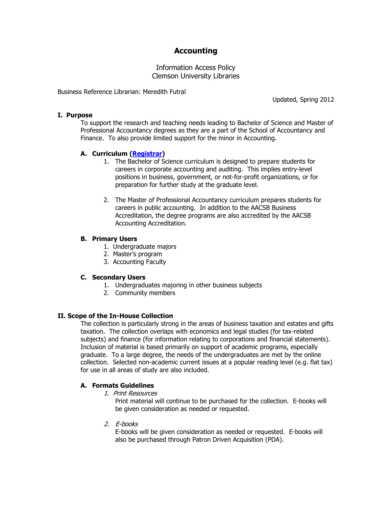# **Accounting**

Information Access Policy Clemson University Libraries

Business Reference Librarian: Meredith Futral

## **I. Purpose**

To support the research and teaching needs leading to Bachelor of Science and Master of Professional Accountancy degrees as they are a part of the School of Accountancy and Finance. To also provide limited support for the minor in Accounting.

Updated, Spring 2012

# **A. Curriculum [\(Registrar\)](http://www.registrar.clemson.edu/)**

- 1. The Bachelor of Science curriculum is designed to prepare students for careers in corporate accounting and auditing. This implies entry-level positions in business, government, or not-for-profit organizations, or for preparation for further study at the graduate level.
- 2. The Master of Professional Accountancy curriculum prepares students for careers in public accounting. In addition to the AACSB Business Accreditation, the degree programs are also accredited by the AACSB Accounting Accreditation.

## **B. Primary Users**

- 1. Undergraduate majors
- 2. Master's program
- 3. Accounting Faculty

#### **C. Secondary Users**

- 1. Undergraduates majoring in other business subjects
- 2. Community members

# **II. Scope of the In-House Collection**

The collection is particularly strong in the areas of business taxation and estates and gifts taxation. The collection overlaps with economics and legal studies (for tax-related subjects) and finance (for information relating to corporations and financial statements). Inclusion of material is based primarily on support of academic programs, especially graduate. To a large degree, the needs of the undergraduates are met by the online collection. Selected non-academic current issues at a popular reading level (e.g. flat tax) for use in all areas of study are also included.

# **A. Formats Guidelines**

1. Print Resources

Print material will continue to be purchased for the collection. E-books will be given consideration as needed or requested.

2. E-books

E-books will be given consideration as needed or requested. E-books will also be purchased through Patron Driven Acquisition (PDA).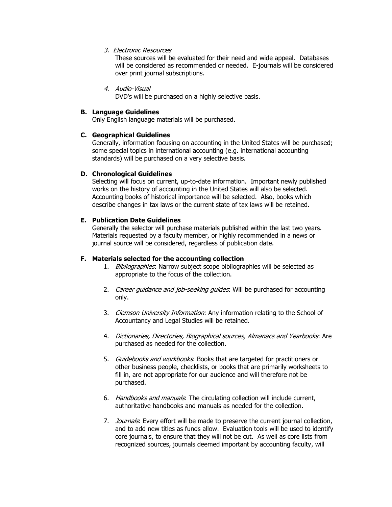3. Electronic Resources

These sources will be evaluated for their need and wide appeal. Databases will be considered as recommended or needed. E-journals will be considered over print journal subscriptions.

4. Audio-Visual

DVD's will be purchased on a highly selective basis.

# **B. Language Guidelines**

Only English language materials will be purchased.

# **C. Geographical Guidelines**

Generally, information focusing on accounting in the United States will be purchased; some special topics in international accounting (e.g. international accounting standards) will be purchased on a very selective basis.

## **D. Chronological Guidelines**

Selecting will focus on current, up-to-date information. Important newly published works on the history of accounting in the United States will also be selected. Accounting books of historical importance will be selected. Also, books which describe changes in tax laws or the current state of tax laws will be retained.

# **E. Publication Date Guidelines**

Generally the selector will purchase materials published within the last two years. Materials requested by a faculty member, or highly recommended in a news or journal source will be considered, regardless of publication date.

#### **F. Materials selected for the accounting collection**

- 1. Bibliographies: Narrow subject scope bibliographies will be selected as appropriate to the focus of the collection.
- 2. Career quidance and job-seeking quides: Will be purchased for accounting only.
- 3. Clemson University Information: Any information relating to the School of Accountancy and Legal Studies will be retained.
- 4. Dictionaries, Directories, Biographical sources, Almanacs and Yearbooks: Are purchased as needed for the collection.
- 5. Guidebooks and workbooks: Books that are targeted for practitioners or other business people, checklists, or books that are primarily worksheets to fill in, are not appropriate for our audience and will therefore not be purchased.
- 6. Handbooks and manuals: The circulating collection will include current, authoritative handbooks and manuals as needed for the collection.
- 7. Journals: Every effort will be made to preserve the current journal collection, and to add new titles as funds allow. Evaluation tools will be used to identify core journals, to ensure that they will not be cut. As well as core lists from recognized sources, journals deemed important by accounting faculty, will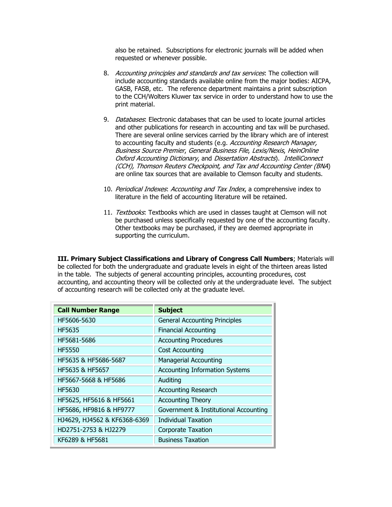also be retained. Subscriptions for electronic journals will be added when requested or whenever possible.

- 8. Accounting principles and standards and tax services. The collection will include accounting standards available online from the major bodies: AICPA, GASB, FASB, etc. The reference department maintains a print subscription to the CCH/Wolters Kluwer tax service in order to understand how to use the print material.
- 9. Databases: Electronic databases that can be used to locate journal articles and other publications for research in accounting and tax will be purchased. There are several online services carried by the library which are of interest to accounting faculty and students (e.g. Accounting Research Manager, Business Source Premier, General Business File, Lexis/Nexis, HeinOnline Oxford Accounting Dictionary, and Dissertation Abstracts). IntelliConnect (CCH), Thomson Reuters Checkpoint, and Tax and Accounting Center (BNA) are online tax sources that are available to Clemson faculty and students.
- 10. Periodical Indexes: Accounting and Tax Index, a comprehensive index to literature in the field of accounting literature will be retained.
- 11. Textbooks: Textbooks which are used in classes taught at Clemson will not be purchased unless specifically requested by one of the accounting faculty. Other textbooks may be purchased, if they are deemed appropriate in supporting the curriculum.

**III. Primary Subject Classifications and Library of Congress Call Numbers**; Materials will be collected for both the undergraduate and graduate levels in eight of the thirteen areas listed in the table. The subjects of general accounting principles, accounting procedures, cost accounting, and accounting theory will be collected only at the undergraduate level. The subject of accounting research will be collected only at the graduate level.

| <b>Call Number Range</b>     | <b>Subject</b>                        |
|------------------------------|---------------------------------------|
| HF5606-5630                  | <b>General Accounting Principles</b>  |
| HF5635                       | <b>Financial Accounting</b>           |
| HF5681-5686                  | <b>Accounting Procedures</b>          |
| <b>HF5550</b>                | Cost Accounting                       |
| HF5635 & HF5686-5687         | <b>Managerial Accounting</b>          |
| HF5635 & HF5657              | <b>Accounting Information Systems</b> |
| HF5667-5668 & HF5686         | Auditing                              |
| HF5630                       | <b>Accounting Research</b>            |
| HF5625, HF5616 & HF5661      | <b>Accounting Theory</b>              |
| HF5686, HF9816 & HF9777      | Government & Institutional Accounting |
| HJ4629, HJ4562 & KF6368-6369 | <b>Individual Taxation</b>            |
| HD2751-2753 & HJ2279         | <b>Corporate Taxation</b>             |
| KF6289 & HF5681              | <b>Business Taxation</b>              |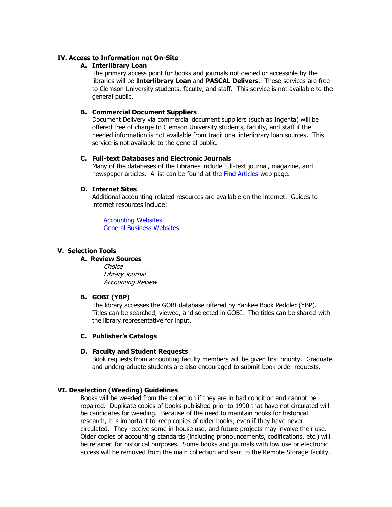## **IV. Access to Information not On-Site**

## **A. Interlibrary Loan**

The primary access point for books and journals not owned or accessible by the libraries will be **Interlibrary Loan** and **PASCAL Delivers**. These services are free to Clemson University students, faculty, and staff. This service is not available to the general public.

## **B. Commercial Document Suppliers**

Document Delivery via commercial document suppliers (such as Ingenta) will be offered free of charge to Clemson University students, faculty, and staff if the needed information is not available from traditional interlibrary loan sources. This service is not available to the general public.

## **C. Full-text Databases and Electronic Journals**

Many of the databases of the Libraries include full-text journal, magazine, and newspaper articles. A list can be found at the [Find Articles](http://www.clemson.edu/library/allsubjects/findarticles.html) web page.

## **D. Internet Sites**

Additional accounting-related resources are available on the internet. Guides to internet resources include:

[Accounting Websites](http://clemson.libguides.com/content.php?pid=118198&sid=1019316) [General Business Websites](http://clemson.libguides.com/content.php?pid=139683&sid=1198619)

## **V. Selection Tools**

#### **A. Review Sources**

Choice Library Journal Accounting Review

#### **B. GOBI (YBP)**

The library accesses the GOBI database offered by Yankee Book Peddler (YBP). Titles can be searched, viewed, and selected in GOBI. The titles can be shared with the library representative for input.

#### **C. Publisher's Catalogs**

#### **D. Faculty and Student Requests**

Book requests from accounting faculty members will be given first priority. Graduate and undergraduate students are also encouraged to submit book order requests.

#### **VI. Deselection (Weeding) Guidelines**

Books will be weeded from the collection if they are in bad condition and cannot be repaired. Duplicate copies of books published prior to 1990 that have not circulated will be candidates for weeding. Because of the need to maintain books for historical research, it is important to keep copies of older books, even if they have never circulated. They receive some in-house use, and future projects may involve their use. Older copies of accounting standards (including pronouncements, codifications, etc.) will be retained for historical purposes. Some books and journals with low use or electronic access will be removed from the main collection and sent to the Remote Storage facility.